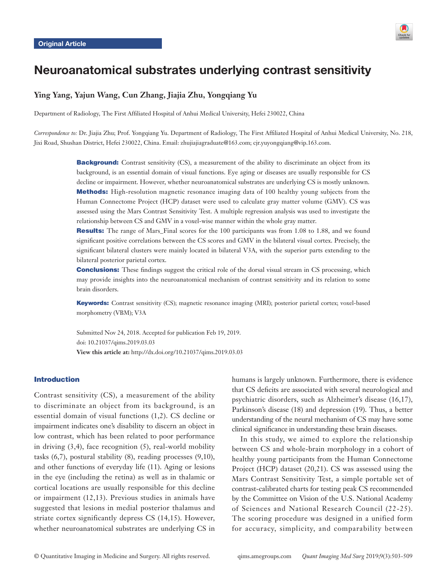

# Neuroanatomical substrates underlying contrast sensitivity

# **Ying Yang, Yajun Wang, Cun Zhang, Jiajia Zhu, Yongqiang Yu**

Department of Radiology, The First Affiliated Hospital of Anhui Medical University, Hefei 230022, China

*Correspondence to:* Dr. Jiajia Zhu; Prof. Yongqiang Yu. Department of Radiology, The First Affiliated Hospital of Anhui Medical University, No. 218, Jixi Road, Shushan District, Hefei 230022, China. Email: zhujiajiagraduate@163.com; cjr.yuyongqiang@vip.163.com.

> **Background:** Contrast sensitivity (CS), a measurement of the ability to discriminate an object from its background, is an essential domain of visual functions. Eye aging or diseases are usually responsible for CS decline or impairment. However, whether neuroanatomical substrates are underlying CS is mostly unknown. Methods: High-resolution magnetic resonance imaging data of 100 healthy young subjects from the Human Connectome Project (HCP) dataset were used to calculate gray matter volume (GMV). CS was assessed using the Mars Contrast Sensitivity Test. A multiple regression analysis was used to investigate the relationship between CS and GMV in a voxel-wise manner within the whole gray matter.

> Results: The range of Mars\_Final scores for the 100 participants was from 1.08 to 1.88, and we found significant positive correlations between the CS scores and GMV in the bilateral visual cortex. Precisely, the significant bilateral clusters were mainly located in bilateral V3A, with the superior parts extending to the bilateral posterior parietal cortex.

> **Conclusions:** These findings suggest the critical role of the dorsal visual stream in CS processing, which may provide insights into the neuroanatomical mechanism of contrast sensitivity and its relation to some brain disorders.

> Keywords: Contrast sensitivity (CS); magnetic resonance imaging (MRI); posterior parietal cortex; voxel-based morphometry (VBM); V3A

Submitted Nov 24, 2018. Accepted for publication Feb 19, 2019. doi: 10.21037/qims.2019.03.03 **View this article at:** http://dx.doi.org/10.21037/qims.2019.03.03

# Introduction

Contrast sensitivity (CS), a measurement of the ability to discriminate an object from its background, is an essential domain of visual functions (1,[2\)](l ). CS decline or impairment indicates one's disability to discern an object in low contrast, which has been related to poor performance in driving  $(3,4)$ , face recognition  $(5)$ , real-world mobility tasks (6,7), postural stability (8), reading processes (9,10), and other functions of everyday life (11). Aging or lesions in the eye (including the retina) as well as in thalamic or cortical locations are usually responsible for this decline or impairment (12,13). Previous studies in animals have suggested that lesions in medial posterior thalamus and striate cortex significantly depress CS (14,15). However, whether neuroanatomical substrates are underlying CS in

humans is largely unknown. Furthermore, there is evidence that CS deficits are associated with several neurological and psychiatric disorders, such as Alzheimer's disease (16,17), Parkinson's disease (18) and depression (19). Thus, a better understanding of the neural mechanism of CS may have some clinical significance in understanding these brain diseases.

In this study, we aimed to explore the relationship between CS and whole-brain morphology in a cohort of healthy young participants from the Human Connectome Project (HCP) dataset (20,21). CS was assessed using the Mars Contrast Sensitivity Test, a simple portable set of contrast-calibrated charts for testing peak CS recommended by the Committee on Vision of the U.S. National Academy of Sciences and National Research Council (22-25). The scoring procedure was designed in a unified form for accuracy, simplicity, and comparability between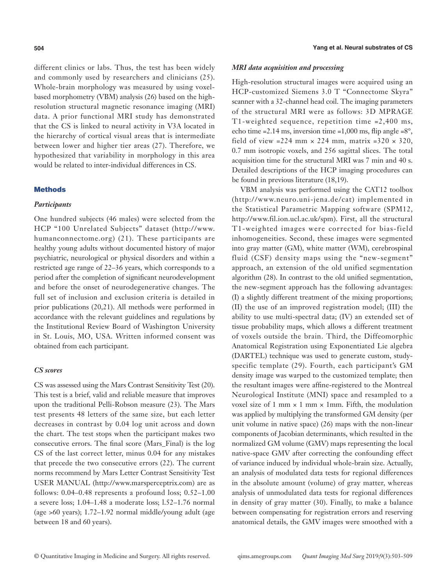different clinics or labs. Thus, the test has been widely and commonly used by researchers and clinicians (25). Whole-brain morphology was measured by using voxelbased morphometry (VBM) analysis (26) based on the highresolution structural magnetic resonance imaging (MRI) data. A prior functional MRI study has demonstrated that the CS is linked to neural activity in V3A located in the hierarchy of cortical visual areas that is intermediate between lower and higher tier areas (27). Therefore, we hypothesized that variability in morphology in this area would be related to inter-individual differences in CS.

### **Methods**

# *Participants*

One hundred subjects (46 males) were selected from the HCP "100 Unrelated Subjects" dataset ([http://www.](http://www.humanconnectome.org) [humanconnectome.org\)](http://www.humanconnectome.org) (21). These participants are healthy young adults without documented history of major psychiatric, neurological or physical disorders and within a restricted age range of 22–36 years, which corresponds to a period after the completion of significant neurodevelopment and before the onset of neurodegenerative changes. The full set of inclusion and exclusion criteria is detailed in prior publications (20,21). All methods were performed in accordance with the relevant guidelines and regulations by the Institutional Review Board of Washington University in St. Louis, MO, USA. Written informed consent was obtained from each participant.

## *CS scores*

CS was assessed using the Mars Contrast Sensitivity Test (20). This test is a brief, valid and reliable measure that improves upon the traditional Pelli-Robson measure (23). The Mars test presents 48 letters of the same size, but each letter decreases in contrast by 0.04 log unit across and down the chart. The test stops when the participant makes two consecutive errors. The final score (Mars\_Final) is the log CS of the last correct letter, minus 0.04 for any mistakes that precede the two consecutive errors (22). The current norms recommend by Mars Letter Contrast Sensitivity Test USER MANUAL [\(http://www.marsperceptrix.com\)](D:\yy\Documents\(http:\www.marsperceptrix.com)) are as follows: 0.04–0.48 represents a profound loss; 0.52–1.00 a severe loss; 1.04–1.48 a moderate loss; l.52–1.76 normal (age >60 years); 1.72–1.92 normal middle/young adult (age between 18 and 60 years).

#### *MRI data acquisition and processing*

High-resolution structural images were acquired using an HCP-customized Siemens 3.0 T "Connectome Skyra" scanner with a 32-channel head coil. The imaging parameters of the structural MRI were as follows: 3D MPRAGE T1-weighted sequence, repetition time =2,400 ms, echo time =2.14 ms, inversion time =1,000 ms, flip angle = $8^\circ$ , field of view =224 mm  $\times$  224 mm, matrix =320  $\times$  320, 0.7 mm isotropic voxels, and 256 sagittal slices. The total acquisition time for the structural MRI was 7 min and 40 s. Detailed descriptions of the HCP imaging procedures can be found in previous literature (18,19).

VBM analysis was performed using the CAT12 toolbox [\(http://www.neuro.uni-jena.de/cat\)](http://www.neuro.uni-jena.de/cat) implemented in the Statistical Parametric Mapping software (SPM12, <http://www.fil.ion.ucl.ac.uk/spm>). First, all the structural T1-weighted images were corrected for bias-field inhomogeneities. Second, these images were segmented into gray matter (GM), white matter (WM), cerebrospinal fluid (CSF) density maps using the "new-segment" approach, an extension of the old unified segmentation algorithm (28). In contrast to the old unified segmentation, the new-segment approach has the following advantages: (I) a slightly different treatment of the mixing proportions; (II) the use of an improved registration model; (III) the ability to use multi-spectral data; (IV) an extended set of tissue probability maps, which allows a different treatment of voxels outside the brain. Third, the Diffeomorphic Anatomical Registration using Exponentiated Lie algebra (DARTEL) technique was used to generate custom, studyspecific template (29). Fourth, each participant's GM density image was warped to the customized template; then the resultant images were affine-registered to the Montreal Neurological Institute (MNI) space and resampled to a voxel size of 1 mm  $\times$  1 mm  $\times$  1 mm. Fifth, the modulation was applied by multiplying the transformed GM density (per unit volume in native space) (26) maps with the non-linear components of Jacobian determinants, which resulted in the normalized GM volume (GMV) maps representing the local native-space GMV after correcting the confounding effect of variance induced by individual whole-brain size. Actually, an analysis of modulated data tests for regional differences in the absolute amount (volume) of gray matter, whereas analysis of unmodulated data tests for regional differences in density of gray matter (30). Finally, to make a balance between compensating for registration errors and reserving anatomical details, the GMV images were smoothed with a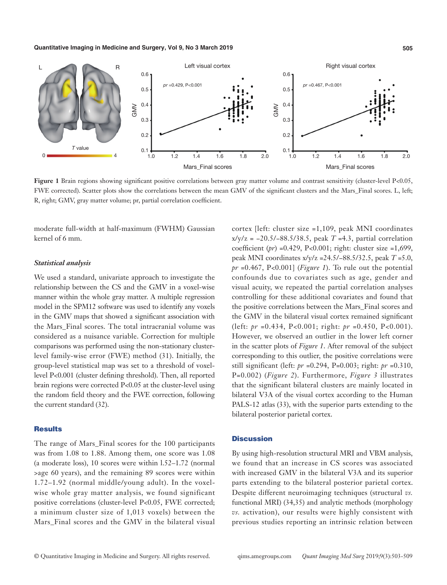#### **Quantitative Imaging in Medicine and Surgery, Vol 9, No 3 March 2019 505**



**Figure 1** Brain regions showing significant positive correlations between gray matter volume and contrast sensitivity (cluster-level P<0.05, FWE corrected). Scatter plots show the correlations between the mean GMV of the significant clusters and the Mars Final scores. L, left;

moderate full-width at half-maximum (FWHM) Gaussian kernel of 6 mm.

### *Statistical analysis*

We used a standard, univariate approach to investigate the relationship between the CS and the GMV in a voxel-wise manner within the whole gray matter. A multiple regression model in the SPM12 software was used to identify any voxels in the GMV maps that showed a significant association with the Mars\_Final scores. The total intracranial volume was considered as a nuisance variable. Correction for multiple comparisons was performed using the non-stationary clusterlevel family-wise error (FWE) method (31). Initially, the group-level statistical map was set to a threshold of voxellevel P<0.001 (cluster defining threshold). Then, all reported brain regions were corrected P<0.05 at the cluster-level using the random field theory and the FWE correction, following the current standard (32).

#### **Results**

The range of Mars\_Final scores for the 100 participants was from 1.08 to 1.88. Among them, one score was 1.08 (a moderate loss), 10 scores were within l.52–1.72 (normal >age 60 years), and the remaining 89 scores were within 1.72–1.92 (normal middle/young adult). In the voxelwise whole gray matter analysis, we found significant positive correlations (cluster-level P<0.05, FWE corrected; a minimum cluster size of 1,013 voxels) between the Mars\_Final scores and the GMV in the bilateral visual cortex [left: cluster size =1,109, peak MNI coordinates x/y/z = −20.5/−88.5/38.5, peak *T* =4.3, partial correlation coefficient (*pr*) =0.429, P<0.001; right: cluster size =1,699, peak MNI coordinates x/y/z =24.5/−88.5/32.5, peak *T* =5.0, *pr* =0.467, P<0.001] (*Figure 1*). To rule out the potential confounds due to covariates such as age, gender and visual acuity, we repeated the partial correlation analyses controlling for these additional covariates and found that the positive correlations between the Mars\_Final scores and the GMV in the bilateral visual cortex remained significant (left: *pr* =0.434, P<0.001; right: *pr* =0.450, P<0.001). However, we observed an outlier in the lower left corner in the scatter plots of *Figure 1*. After removal of the subject corresponding to this outlier, the positive correlations were still significant (left: *pr* =0.294, P=0.003; right: *pr* =0.310, P=0.002) (*Figure 2*). Furthermore, *Figure 3* illustrates that the significant bilateral clusters are mainly located in bilateral V3A of the visual cortex according to the Human PALS-12 atlas (33), with the superior parts extending to the bilateral posterior parietal cortex.

#### **Discussion**

By using high-resolution structural MRI and VBM analysis, we found that an increase in CS scores was associated with increased GMV in the bilateral V3A and its superior parts extending to the bilateral posterior parietal cortex. Despite different neuroimaging techniques (structural *vs.* functional MRI) (34,35) and analytic methods (morphology *vs.* activation), our results were highly consistent with previous studies reporting an intrinsic relation between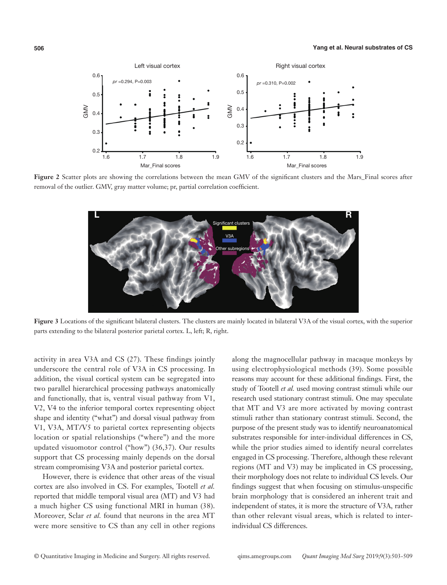

**Figure 2** Scatter plots are showing the correlations between the mean GMV of the significant clusters and the Mars\_Final scores after removal of the outlier. GMV, gray matter volume; pr, partial correlation coefficient.



**Figure 3** Locations of the significant bilateral clusters. The clusters are mainly located in bilateral V3A of the visual cortex, with the superior parts extending to the bilateral posterior parietal cortex. L, left; R, right.

activity in area V3A and CS (27). These findings jointly underscore the central role of V3A in CS processing. In addition, the visual cortical system can be segregated into two parallel hierarchical processing pathways anatomically and functionally, that is, ventral visual pathway from V1, V2, V4 to the inferior temporal cortex representing object shape and identity ("what") and dorsal visual pathway from V1, V3A, MT/V5 to parietal cortex representing objects location or spatial relationships ("where") and the more updated visuomotor control ("how") (36,37). Our results support that CS processing mainly depends on the dorsal stream compromising V3A and posterior parietal cortex.

However, there is evidence that other areas of the visual cortex are also involved in CS. For examples, Tootell *et al.* reported that middle temporal visual area (MT) and V3 had a much higher CS using functional MRI in human (38). Moreover, Sclar *et al.* found that neurons in the area MT were more sensitive to CS than any cell in other regions along the magnocellular pathway in macaque monkeys by using electrophysiological methods (39). Some possible reasons may account for these additional findings. First, the study of Tootell *et al.* used moving contrast stimuli while our research used stationary contrast stimuli. One may speculate that MT and V3 are more activated by moving contrast stimuli rather than stationary contrast stimuli. Second, the purpose of the present study was to identify neuroanatomical substrates responsible for inter-individual differences in CS, while the prior studies aimed to identify neural correlates engaged in CS processing. Therefore, although these relevant regions (MT and V3) may be implicated in CS processing, their morphology does not relate to individual CS levels. Our findings suggest that when focusing on stimulus-unspecific brain morphology that is considered an inherent trait and independent of states, it is more the structure of V3A, rather than other relevant visual areas, which is related to interindividual CS differences.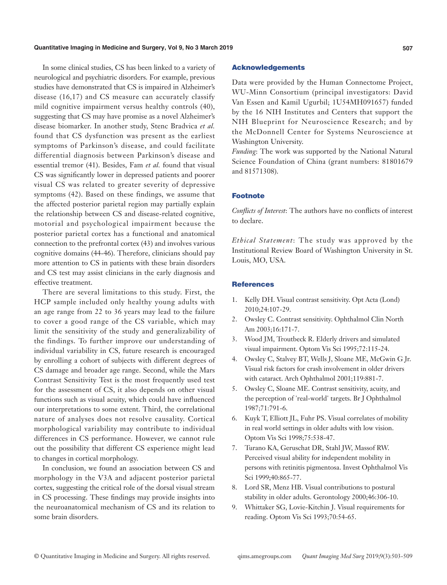#### **Quantitative Imaging in Medicine and Surgery, Vol 9, No 3 March 2019 507**

In some clinical studies, CS has been linked to a variety of neurological and psychiatric disorders. For example, previous studies have demonstrated that CS is impaired in Alzheimer's disease (16,17) and CS measure can accurately classify mild cognitive impairment versus healthy controls (40), suggesting that CS may have promise as a novel Alzheimer's disease biomarker. In another study, Stenc Bradvica *et al.* found that CS dysfunction was present as the earliest symptoms of Parkinson's disease, and could facilitate differential diagnosis between Parkinson's disease and essential tremor (41). Besides, Fam *et al.* found that visual CS was significantly lower in depressed patients and poorer visual CS was related to greater severity of depressive symptoms (42). Based on these findings, we assume that the affected posterior parietal region may partially explain the relationship between CS and disease-related cognitive, motorial and psychological impairment because the posterior parietal cortex has a functional and anatomical connection to the prefrontal cortex (43) and involves various cognitive domains (44-46). Therefore, clinicians should pay more attention to CS in patients with these brain disorders and CS test may assist clinicians in the early diagnosis and effective treatment.

There are several limitations to this study. First, the HCP sample included only healthy young adults with an age range from 22 to 36 years may lead to the failure to cover a good range of the CS variable, which may limit the sensitivity of the study and generalizability of the findings. To further improve our understanding of individual variability in CS, future research is encouraged by enrolling a cohort of subjects with different degrees of CS damage and broader age range. Second, while the Mars Contrast Sensitivity Test is the most frequently used test for the assessment of CS, it also depends on other visual functions such as visual acuity, which could have influenced our interpretations to some extent. Third, the correlational nature of analyses does not resolve causality. Cortical morphological variability may contribute to individual differences in CS performance. However, we cannot rule out the possibility that different CS experience might lead to changes in cortical morphology.

In conclusion, we found an association between CS and morphology in the V3A and adjacent posterior parietal cortex, suggesting the critical role of the dorsal visual stream in CS processing. These findings may provide insights into the neuroanatomical mechanism of CS and its relation to some brain disorders.

#### Acknowledgements

Data were provided by the Human Connectome Project, WU-Minn Consortium (principal investigators: David Van Essen and Kamil Ugurbil; 1U54MH091657) funded by the 16 NIH Institutes and Centers that support the NIH Blueprint for Neuroscience Research; and by the McDonnell Center for Systems Neuroscience at Washington University.

*Funding*: The work was supported by the National Natural Science Foundation of China (grant numbers: 81801679 and 81571308).

# Footnote

*Conflicts of Interest*: The authors have no conflicts of interest to declare.

*Ethical Statement*: The study was approved by the Institutional Review Board of Washington University in St. Louis, MO, USA.

# **References**

- 1. Kelly DH. Visual contrast sensitivity. Opt Acta (Lond) 2010;24:107-29.
- 2. Owsley C. Contrast sensitivity. Ophthalmol Clin North Am 2003;16:171-7.
- 3. Wood JM, Troutbeck R. Elderly drivers and simulated visual impairment. Optom Vis Sci 1995;72:115-24.
- 4. Owsley C, Stalvey BT, Wells J, Sloane ME, McGwin G Jr. Visual risk factors for crash involvement in older drivers with cataract. Arch Ophthalmol 2001;119:881-7.
- 5. Owsley C, Sloane ME. Contrast sensitivity, acuity, and the perception of 'real-world' targets. Br J Ophthalmol 1987;71:791-6.
- 6. Kuyk T, Elliott JL, Fuhr PS. Visual correlates of mobility in real world settings in older adults with low vision. Optom Vis Sci 1998;75:538-47.
- 7. Turano KA, Geruschat DR, Stahl JW, Massof RW. Perceived visual ability for independent mobility in persons with retinitis pigmentosa. Invest Ophthalmol Vis Sci 1999;40:865-77.
- 8. Lord SR, Menz HB. Visual contributions to postural stability in older adults. Gerontology 2000;46:306-10.
- 9. Whittaker SG, Lovie-Kitchin J. Visual requirements for reading. Optom Vis Sci 1993;70:54-65.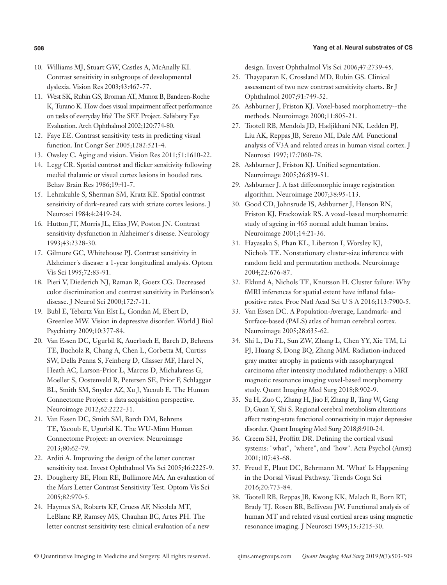- 10. Williams MJ, Stuart GW, Castles A, McAnally KI. Contrast sensitivity in subgroups of developmental dyslexia. Vision Res 2003;43:467-77.
- 11. West SK, Rubin GS, Broman AT, Munoz B, Bandeen-Roche K, Turano K. How does visual impairment affect performance on tasks of everyday life? The SEE Project. Salisbury Eye Evaluation. Arch Ophthalmol 2002;120:774-80.
- 12. Faye EE. Contrast sensitivity tests in predicting visual function. Int Congr Ser 2005;1282:521-4.
- 13. Owsley C. Aging and vision. Vision Res 2011;51:1610-22.
- 14. Legg CR. Spatial contrast and flicker sensitivity following medial thalamic or visual cortex lesions in hooded rats. Behav Brain Res 1986;19:41-7.
- 15. Lehmkuhle S, Sherman SM, Kratz KE. Spatial contrast sensitivity of dark-reared cats with striate cortex lesions. J Neurosci 1984;4:2419-24.
- 16. Hutton JT, Morris JL, Elias JW, Poston JN. Contrast sensitivity dysfunction in Alzheimer's disease. Neurology 1993;43:2328-30.
- 17. Gilmore GC, Whitehouse PJ. Contrast sensitivity in Alzheimer's disease: a 1-year longitudinal analysis. Optom Vis Sci 1995;72:83-91.
- 18. Pieri V, Diederich NJ, Raman R, Goetz CG. Decreased color discrimination and contrast sensitivity in Parkinson's disease. J Neurol Sci 2000;172:7-11.
- 19. Bubl E, Tebartz Van Elst L, Gondan M, Ebert D, Greenlee MW. Vision in depressive disorder. World J Biol Psychiatry 2009;10:377-84.
- 20. Van Essen DC, Ugurbil K, Auerbach E, Barch D, Behrens TE, Bucholz R, Chang A, Chen L, Corbetta M, Curtiss SW, Della Penna S, Feinberg D, Glasser MF, Harel N, Heath AC, Larson-Prior L, Marcus D, Michalareas G, Moeller S, Oostenveld R, Petersen SE, Prior F, Schlaggar BL, Smith SM, Snyder AZ, Xu J, Yacoub E. The Human Connectome Project: a data acquisition perspective. Neuroimage 2012;62:2222-31.
- 21. Van Essen DC, Smith SM, Barch DM, Behrens TE, Yacoub E, Ugurbil K. The WU-Minn Human Connectome Project: an overview. Neuroimage 2013;80:62-79.
- 22. Arditi A. Improving the design of the letter contrast sensitivity test. Invest Ophthalmol Vis Sci 2005;46:2225-9.
- 23. Dougherty BE, Flom RE, Bullimore MA. An evaluation of the Mars Letter Contrast Sensitivity Test. Optom Vis Sci 2005;82:970-5.
- 24. Haymes SA, Roberts KF, Cruess AF, Nicolela MT, LeBlanc RP, Ramsey MS, Chauhan BC, Artes PH. The letter contrast sensitivity test: clinical evaluation of a new

design. Invest Ophthalmol Vis Sci 2006;47:2739-45.

- 25. Thayaparan K, Crossland MD, Rubin GS. Clinical assessment of two new contrast sensitivity charts. Br J Ophthalmol 2007;91:749-52.
- 26. Ashburner J, Friston KJ. Voxel-based morphometry--the methods. Neuroimage 2000;11:805-21.
- 27. Tootell RB, Mendola JD, Hadjikhani NK, Ledden PJ, Liu AK, Reppas JB, Sereno MI, Dale AM. Functional analysis of V3A and related areas in human visual cortex. J Neurosci 1997;17:7060-78.
- 28. Ashburner J, Friston KJ. Unified segmentation. Neuroimage 2005;26:839-51.
- 29. Ashburner J. A fast diffeomorphic image registration algorithm. Neuroimage 2007;38:95-113.
- 30. Good CD, Johnsrude IS, Ashburner J, Henson RN, Friston KJ, Frackowiak RS. A voxel-based morphometric study of ageing in 465 normal adult human brains. Neuroimage 2001;14:21-36.
- 31. Hayasaka S, Phan KL, Liberzon I, Worsley KJ, Nichols TE. Nonstationary cluster-size inference with random field and permutation methods. Neuroimage 2004;22:676-87.
- 32. Eklund A, Nichols TE, Knutsson H. Cluster failure: Why fMRI inferences for spatial extent have inflated falsepositive rates. Proc Natl Acad Sci U S A 2016;113:7900-5.
- 33. Van Essen DC. A Population-Average, Landmark- and Surface-based (PALS) atlas of human cerebral cortex. Neuroimage 2005;28:635-62.
- 34. Shi L, Du FL, Sun ZW, Zhang L, Chen YY, Xie TM, Li PJ, Huang S, Dong BQ, Zhang MM. Radiation-induced gray matter atrophy in patients with nasopharyngeal carcinoma after intensity modulated radiotherapy: a MRI magnetic resonance imaging voxel-based morphometry study. Quant Imaging Med Surg 2018;8:902-9.
- 35. Su H, Zuo C, Zhang H, Jiao F, Zhang B, Tang W, Geng D, Guan Y, Shi S. Regional cerebral metabolism alterations affect resting-state functional connectivity in major depressive disorder. Quant Imaging Med Surg 2018;8:910-24.
- 36. Creem SH, Proffitt DR. Defining the cortical visual systems: "what", "where", and "how". Acta Psychol (Amst) 2001;107:43-68.
- 37. Freud E, Plaut DC, Behrmann M. 'What' Is Happening in the Dorsal Visual Pathway. Trends Cogn Sci 2016;20:773-84.
- 38. Tootell RB, Reppas JB, Kwong KK, Malach R, Born RT, Brady TJ, Rosen BR, Belliveau JW. Functional analysis of human MT and related visual cortical areas using magnetic resonance imaging. J Neurosci 1995;15:3215-30.